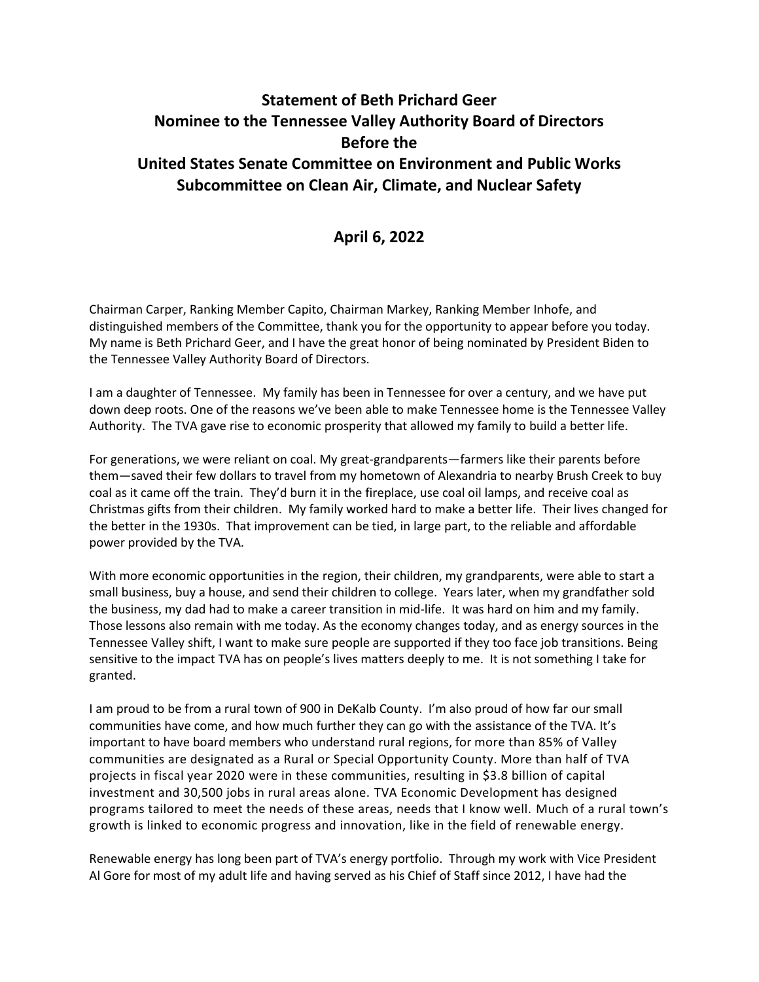## **Statement of Beth Prichard Geer Nominee to the Tennessee Valley Authority Board of Directors Before the United States Senate Committee on Environment and Public Works Subcommittee on Clean Air, Climate, and Nuclear Safety**

## **April 6, 2022**

Chairman Carper, Ranking Member Capito, Chairman Markey, Ranking Member Inhofe, and distinguished members of the Committee, thank you for the opportunity to appear before you today. My name is Beth Prichard Geer, and I have the great honor of being nominated by President Biden to the Tennessee Valley Authority Board of Directors.

I am a daughter of Tennessee. My family has been in Tennessee for over a century, and we have put down deep roots. One of the reasons we've been able to make Tennessee home is the Tennessee Valley Authority. The TVA gave rise to economic prosperity that allowed my family to build a better life.

For generations, we were reliant on coal. My great-grandparents—farmers like their parents before them—saved their few dollars to travel from my hometown of Alexandria to nearby Brush Creek to buy coal as it came off the train. They'd burn it in the fireplace, use coal oil lamps, and receive coal as Christmas gifts from their children. My family worked hard to make a better life. Their lives changed for the better in the 1930s. That improvement can be tied, in large part, to the reliable and affordable power provided by the TVA.

With more economic opportunities in the region, their children, my grandparents, were able to start a small business, buy a house, and send their children to college. Years later, when my grandfather sold the business, my dad had to make a career transition in mid-life. It was hard on him and my family. Those lessons also remain with me today. As the economy changes today, and as energy sources in the Tennessee Valley shift, I want to make sure people are supported if they too face job transitions. Being sensitive to the impact TVA has on people's lives matters deeply to me. It is not something I take for granted.

I am proud to be from a rural town of 900 in DeKalb County. I'm also proud of how far our small communities have come, and how much further they can go with the assistance of the TVA. It's important to have board members who understand rural regions, for more than 85% of Valley communities are designated as a Rural or Special Opportunity County. More than half of TVA projects in fiscal year 2020 were in these communities, resulting in \$3.8 billion of capital investment and 30,500 jobs in rural areas alone. TVA Economic Development has designed programs tailored to meet the needs of these areas, needs that I know well. Much of a rural town's growth is linked to economic progress and innovation, like in the field of renewable energy.

Renewable energy has long been part of TVA's energy portfolio. Through my work with Vice President Al Gore for most of my adult life and having served as his Chief of Staff since 2012, I have had the